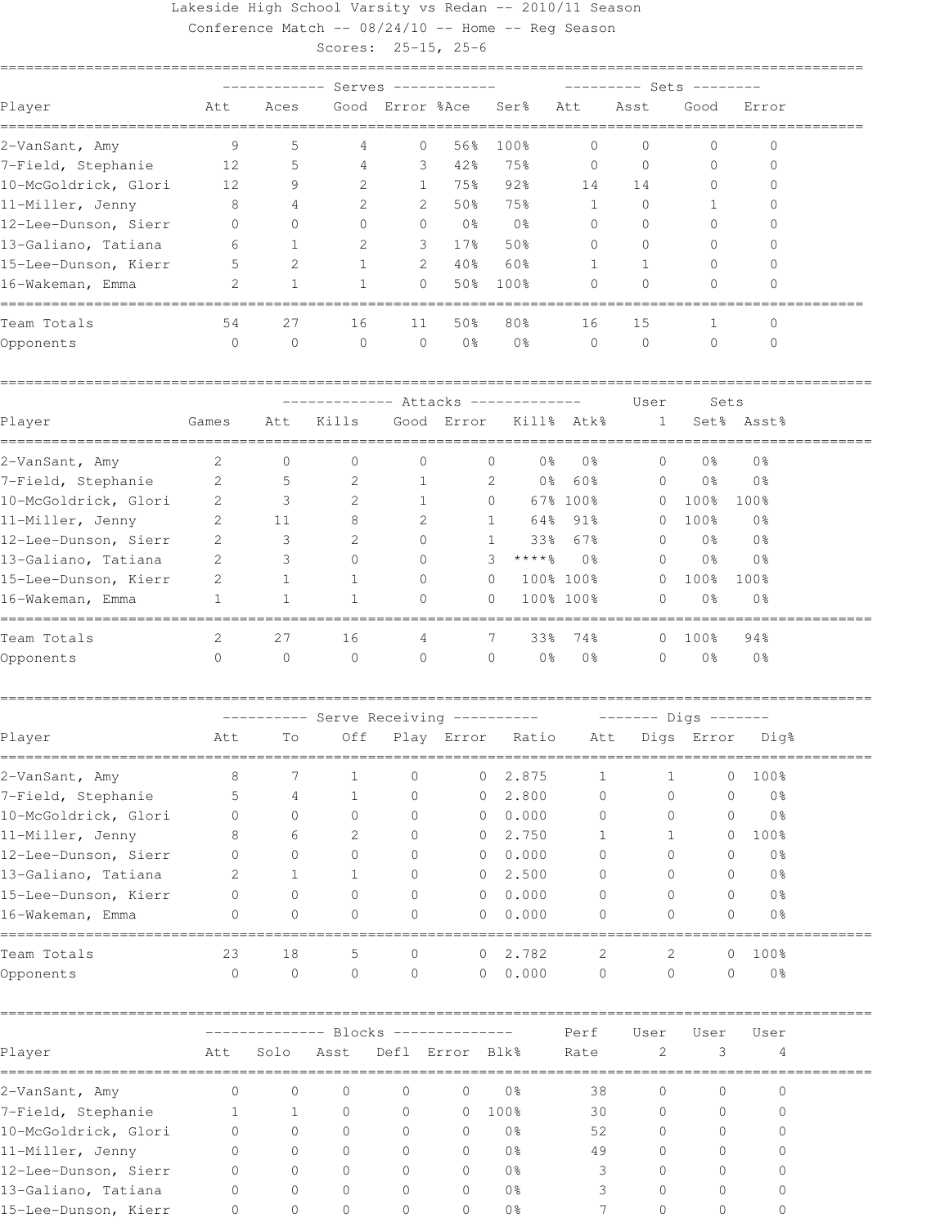## Lakeside High School Varsity vs Redan -- 2010/11 Season

Conference Match -- 08/24/10 -- Home -- Reg Season

Scores: 25-15, 25-6

|                                            | Serves       |                            |                                    |                 |                |              | Sets             |                |                      |              |                            |  |
|--------------------------------------------|--------------|----------------------------|------------------------------------|-----------------|----------------|--------------|------------------|----------------|----------------------|--------------|----------------------------|--|
| Player                                     | Att          | Aces                       |                                    | Good Error %Ace |                |              | Ser <sup>8</sup> | Att            | Asst                 | Good         | Error                      |  |
| 2–VanSant, Amy                             | 9            | 5                          | 4                                  | 0               | 56%            |              | 100%             | 0              | 0                    | $\mathbf{0}$ | 0                          |  |
| 7-Field, Stephanie                         | 12           | 5                          | 4                                  | 3               | 42%            |              | 75%              | $\mathbf{0}$   | $\circ$              | $\mathbf{0}$ | 0                          |  |
| 10-McGoldrick, Glori                       | 12           | 9                          | 2                                  | 1               | 75%            |              | 92%              | 14             | 14                   | 0            | $\Omega$                   |  |
| 11-Miller, Jenny                           | 8            | 4                          | 2                                  | 2               | 50%            |              | 75%              | $\mathbf{1}$   | $\Omega$             | 1            | 0                          |  |
| 12-Lee-Dunson, Sierr                       | $\mathbf{0}$ | $\Omega$                   | 0                                  | 0               | 0 <sub>8</sub> |              | 0 <sup>°</sup>   | $\mathbf{0}$   | $\Omega$             | $\Omega$     |                            |  |
| 13-Galiano, Tatiana                        | 6            | 1                          | 2                                  | 3               | $17$ %         |              | 50%              | $\mathbf{0}$   | $\Omega$             | $\Omega$     | $\bigcap$                  |  |
| 15-Lee-Dunson, Kierr                       | 5            | 2                          | $\mathbf{1}$                       | 2               | 40%            |              | 60%              | 1              | 1                    | 0            | $\bigcap$                  |  |
| 16-Wakeman, Emma                           | 2            | $\mathbf{1}$               | $\mathbf{1}$                       | $\Omega$        | 50%            |              | 100%             | $\Omega$       | $\Omega$             | $\Omega$     | $\Omega$                   |  |
| Team Totals                                | 54           | 27                         | 16                                 | 11              | 50%            |              | 80%              | 16             | 15                   | 1            | 0                          |  |
| Opponents                                  | $\circ$      | $\mathbf{0}$               | 0                                  | $\circ$         | 0 <sup>°</sup> |              | 0 <sup>°</sup>   | $\mathbf{0}$   | $\circ$              | $\mathbf{0}$ | $\mathbf{0}$               |  |
|                                            |              | ---- Attacks ------------- |                                    |                 |                |              |                  |                | User                 | Sets         |                            |  |
| Player                                     | Games        | Att                        | Kills                              |                 | Good Error     |              |                  | Kill% Atk%     | 1                    |              | Set% Asst%                 |  |
| 2-VanSant, Amy                             | 2            | $\mathbf{0}$               | 0                                  | 0               |                | 0            | 0%               | 0%             | 0                    | 0%           | 0 <sup>°</sup>             |  |
| 7-Field, Stephanie                         | 2            | 5                          | 2                                  | 1               |                | 2            | 0%               | 60%            | $\circ$              | 0%           | 0 <sup>°</sup>             |  |
| 10-McGoldrick, Glori                       | 2            | 3                          | 2                                  | $\mathbf{1}$    |                | 0            |                  | 67% 100%       | $\circ$              | 100%         | 100%                       |  |
| 11-Miller, Jenny                           | 2            | 11                         | 8                                  | 2               |                | 1            | 64%              | 91%            | 0                    | 100%         | 0 <sub>8</sub>             |  |
| 12-Lee-Dunson, Sierr                       | 2            | 3                          | 2                                  | $\Omega$        |                | $\mathbf{1}$ | 33%              | 67%            | $\Omega$             | 0%           | 0 <sup>°</sup>             |  |
| 13-Galiano, Tatiana                        | 2            | 3                          | 0                                  | $\Omega$        |                | 3            | ****%            | 0 <sub>8</sub> | $\Omega$             | 0%           | 0 <sup>°</sup>             |  |
| 15-Lee-Dunson, Kierr                       | 2            | 1                          | 1                                  | $\Omega$        |                | $\circ$      |                  | 100% 100%      | $\mathbf{0}$         | 100%         | 100%                       |  |
| 16-Wakeman, Emma<br>---------------------- | 1            | $\mathbf{1}$               | 1                                  | 0               |                | $\Omega$     |                  | 100% 100%      | $\Omega$             | 0%           | 0 <sup>°</sup>             |  |
| Team Totals                                | 2            | 27                         | 16                                 | 4               |                | 7            | 33%              | 74%            | $\Omega$             | 100%         | 94%                        |  |
| Opponents                                  | 0            | 0                          | $\circ$                            | $\mathbf{0}$    |                | 0            | 0%               | 0%             | $\mathbf{0}$         | 0%           | 0%                         |  |
|                                            |              |                            | ------- Serve Receiving ---------- |                 |                |              |                  |                | ------- Digs ------- |              |                            |  |
| Player                                     | Att          | Τo                         | Off                                |                 | Play Error     |              | Ratio            | Att            |                      | Digs Error   | Dig%                       |  |
| 2-VanSant, Amy                             | 8            | 7                          | 1                                  | 0               |                | 0            | 2.875            | 1              | 1                    |              | 100%<br>0                  |  |
| 7-Field, Stephanie                         | 5            | 4                          | 1                                  | 0               |                | 0            | 2.800            | 0              | 0                    |              | 0 <sup>°</sup><br>0        |  |
| 10-McGoldrick, Glori                       | 0            | 0                          | 0                                  | 0               |                | 0            | 0.000            | 0              | 0                    |              | 0 <sup>°</sup><br>0        |  |
| 11-Miller, Jenny                           | 8            | 6                          | 2                                  | 0               |                | 0            | 2.750            | 1              | 1                    |              | 100%<br>0                  |  |
| 12-Lee-Dunson, Sierr                       | 0            | 0                          | 0                                  | 0               |                | 0            | 0.000            | $\Omega$       | 0                    |              | 0 <sup>°</sup><br>0        |  |
| 13-Galiano, Tatiana                        | 2            | 1                          | 1                                  | $\Omega$        |                | 0            | 2.500            | $\Omega$       | 0                    |              | 0 <sup>°</sup><br>$\Omega$ |  |
| 15-Lee-Dunson, Kierr                       | 0            | 0                          | 0                                  | 0               |                | $\circ$      | 0.000            | $\mathbf{0}$   | 0                    |              | 0 <sup>°</sup><br>0        |  |
| 16-Wakeman, Emma                           | 0            | $\circ$                    | 0                                  | 0               |                | 0            | 0.000            | 0              | 0                    |              | 0 <sup>°</sup><br>0        |  |
| Team Totals                                | 23           | 18                         | 5                                  | 0               |                | 0            | 2.782            | 2              | 2                    |              | 100%<br>0                  |  |
| Opponents                                  | $\circ$      | $\circ$                    | $\circ$                            | $\circ$         |                | $\circ$      | 0.000            | $\circ$        | $\mathsf{O}\xspace$  |              | $\circ$<br>0 <sup>°</sup>  |  |
|                                            |              |                            |                                    |                 |                |              |                  | Perf           | User                 | User         | User                       |  |
| Player                                     | Att          | Solo                       | Asst                               | Defl Error Blk% |                |              |                  | Rate           | 2                    | 3            | 4                          |  |
| 2-VanSant, Amy                             | 0            | $\circ$                    | $\mathbf 0$                        | 0               | 0              |              | 0 <sup>°</sup>   | 38             | $\circ$              | 0            | 0                          |  |
| 7-Field, Stephanie                         | $\mathbf{1}$ | $\mathbf{1}$               | $\circ$                            | 0               | 0              |              | 100%             | 30             | 0                    | 0            | 0                          |  |
| 10-McGoldrick, Glori                       | 0            | $\circ$                    | 0                                  | 0               | 0              |              | 0 <sup>8</sup>   | 52             | 0                    | 0            | 0                          |  |
| 11-Miller, Jenny                           | 0            | $\circ$                    | $\mathbf{0}$                       | 0               | $\mathbf{0}$   |              | 0 <sup>°</sup>   | 49             | $\mathbf{0}$         | 0            | 0                          |  |

12-Lee-Dunson, Sierr 0 0 0 0 0 0% 3 0 0 0 13-Galiano, Tatiana 0 0 0 0 0 0% 3 0 0 0 15-Lee-Dunson, Kierr 0 0 0 0 0 0% 7 0 0 0